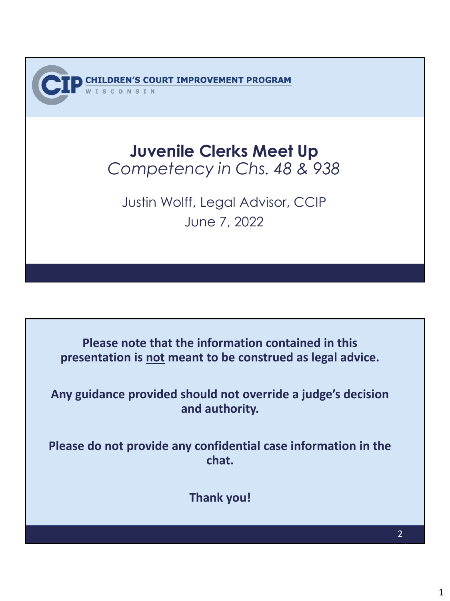'S COURT IMPROVEMENT PROGRAM

#### **Juvenile Clerks Meet Up** *Competency in Chs. 48 & 938*

Justin Wolff, Legal Advisor, CCIP June 7, 2022

**Please note that the information contained in this presentation is not meant to be construed as legal advice.**

**Any guidance provided should not override a judge's decision and authority.**

**Please do not provide any confidential case information in the chat.**

**Thank you!**

2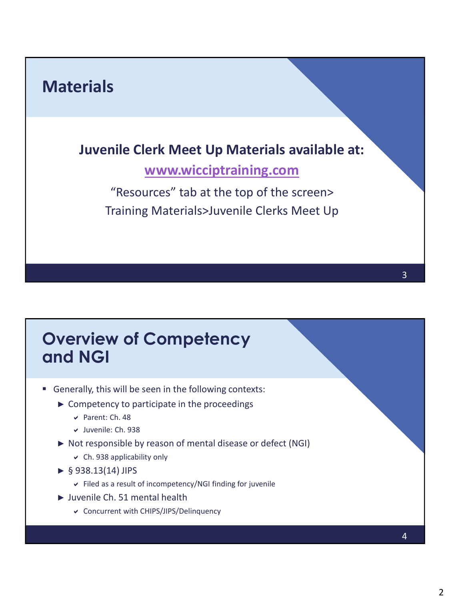# **Materials Juvenile Clerk Meet Up Materials available at:**

#### **[www.wicciptraining.com](http://www.wicciptraining.com/)**

"Resources" tab at the top of the screen> Training Materials>Juvenile Clerks Meet Up

## **Overview of Competency and NGI**

- Generally, this will be seen in the following contexts:
	- $\triangleright$  Competency to participate in the proceedings
		- Parent: Ch. 48
		- Juvenile: Ch. 938
	- ► Not responsible by reason of mental disease or defect (NGI)
		- $\vee$  Ch. 938 applicability only
	- $\triangleright$  § 938.13(14) JIPS
		- Filed as a result of incompetency/NGI finding for juvenile
	- ► Juvenile Ch. 51 mental health
		- Concurrent with CHIPS/JIPS/Delinquency

3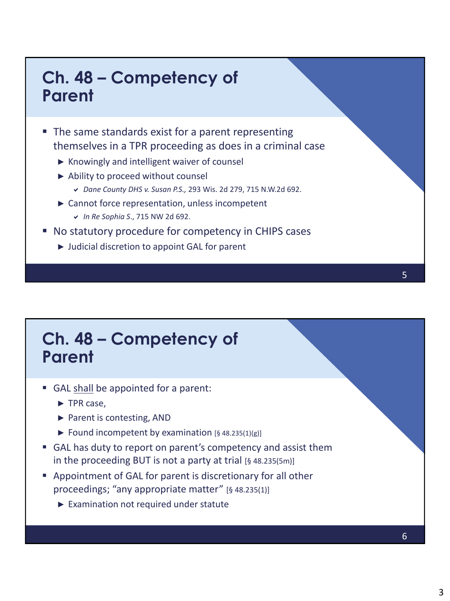## **Ch. 48 – Competency of Parent**

- The same standards exist for a parent representing themselves in a TPR proceeding as does in a criminal case
	- ► Knowingly and intelligent waiver of counsel
	- ► Ability to proceed without counsel
		- *Dane County DHS v. Susan P.S.,* 293 Wis. 2d 279, 715 N.W.2d 692.
	- ► Cannot force representation, unless incompetent
		- *In Re Sophia S*., 715 NW 2d 692.
- No statutory procedure for competency in CHIPS cases
	- ► Judicial discretion to appoint GAL for parent

## **Ch. 48 – Competency of Parent**

- GAL shall be appointed for a parent:
	- ► TPR case,
	- ► Parent is contesting, AND
	- ► Found incompetent by examination  $[§ 48.235(1)(g)]$
- GAL has duty to report on parent's competency and assist them in the proceeding BUT is not a party at trial [§ 48.235(5m)]
- Appointment of GAL for parent is discretionary for all other proceedings; "any appropriate matter" [§ 48.235(1)]
	- ► Examination not required under statute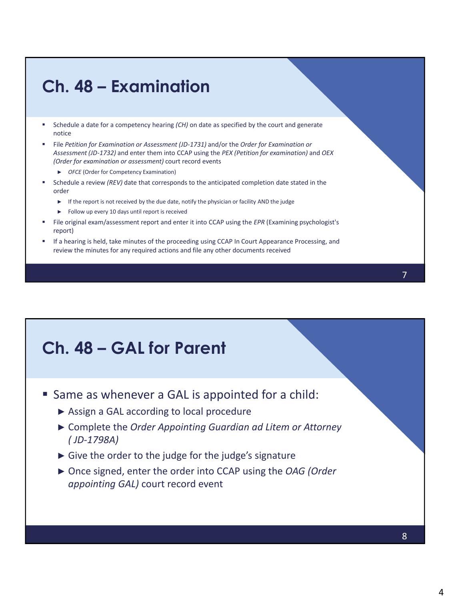## **Ch. 48 – Examination**

- Schedule a date for a competency hearing *(CH)* on date as specified by the court and generate notice
- File *Petition for Examination or Assessment (JD-1731)* and/or the *Order for Examination or Assessment (JD-1732)* and enter them into CCAP using the *PEX (Petition for examination)* and *OEX (Order for examination or assessment)* court record events
	- ► *OFCE* (Order for Competency Examination)
- Schedule a review *(REV)* date that corresponds to the anticipated completion date stated in the order
	- ► If the report is not received by the due date, notify the physician or facility AND the judge
	- ► Follow up every 10 days until report is received
- File original exam/assessment report and enter it into CCAP using the *EPR* (Examining psychologist's report)
- If a hearing is held, take minutes of the proceeding using CCAP In Court Appearance Processing, and review the minutes for any required actions and file any other documents received

## **Ch. 48 – GAL for Parent**

- **Same as whenever a GAL is appointed for a child:** 
	- ► Assign a GAL according to local procedure
	- ► Complete the *Order Appointing Guardian ad Litem or Attorney ( JD-1798A)*
	- ► Give the order to the judge for the judge's signature
	- ► Once signed, enter the order into CCAP using the *OAG (Order appointing GAL)* court record event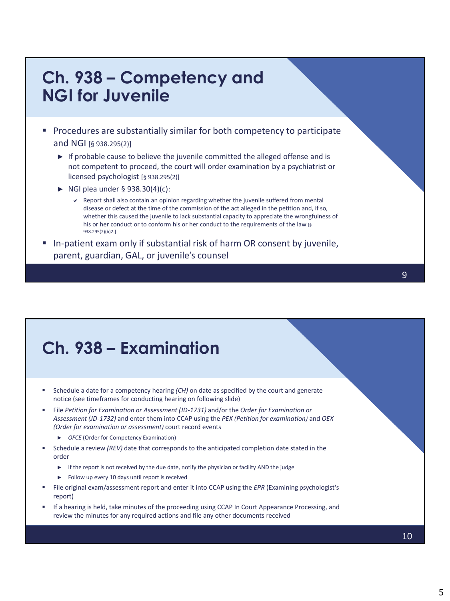#### **Ch. 938 – Competency and NGI for Juvenile**

- **Procedures are substantially similar for both competency to participate** and NGI [§ 938.295(2)]
	- ► If probable cause to believe the juvenile committed the alleged offense and is not competent to proceed, the court will order examination by a psychiatrist or licensed psychologist [§ 938.295(2)]
	- $\triangleright$  NGI plea under § 938.30(4)(c):
		- $\vee$  Report shall also contain an opinion regarding whether the juvenile suffered from mental disease or defect at the time of the commission of the act alleged in the petition and, if so, whether this caused the juvenile to lack substantial capacity to appreciate the wrongfulness of his or her conduct or to conform his or her conduct to the requirements of the law [§ 938.295(2)(b)2.]
- In-patient exam only if substantial risk of harm OR consent by juvenile, parent, guardian, GAL, or juvenile's counsel

## **Ch. 938 – Examination**

- Schedule a date for a competency hearing *(CH)* on date as specified by the court and generate notice (see timeframes for conducting hearing on following slide)
- File *Petition for Examination or Assessment (JD-1731)* and/or the *Order for Examination or Assessment (JD-1732)* and enter them into CCAP using the *PEX (Petition for examination)* and *OEX (Order for examination or assessment)* court record events
	- ► *OFCE* (Order for Competency Examination)
- Schedule a review *(REV)* date that corresponds to the anticipated completion date stated in the order
	- ► If the report is not received by the due date, notify the physician or facility AND the judge
	- ► Follow up every 10 days until report is received
- File original exam/assessment report and enter it into CCAP using the *EPR* (Examining psychologist's report)
- If a hearing is held, take minutes of the proceeding using CCAP In Court Appearance Processing, and review the minutes for any required actions and file any other documents received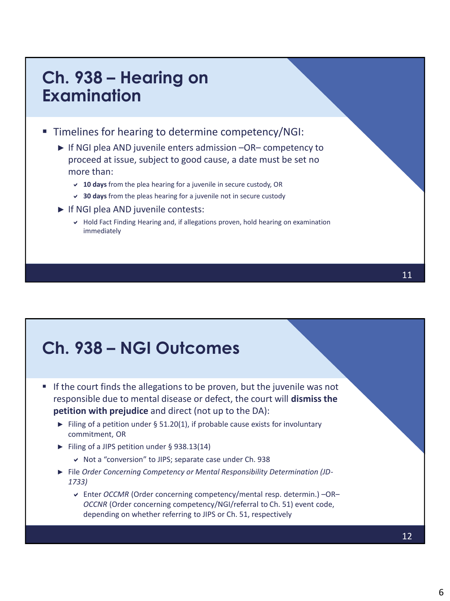#### **Ch. 938 – Hearing on Examination**

**Timelines for hearing to determine competency/NGI:** 

- ► If NGI plea AND juvenile enters admission –OR– competency to proceed at issue, subject to good cause, a date must be set no more than:
	- **10 days** from the plea hearing for a juvenile in secure custody, OR
	- **30 days** from the pleas hearing for a juvenile not in secure custody
- ► If NGI plea AND juvenile contests:
	- Hold Fact Finding Hearing and, if allegations proven, hold hearing on examination immediately

## **Ch. 938 – NGI Outcomes**

- $\blacksquare$  If the court finds the allegations to be proven, but the juvenile was not responsible due to mental disease or defect, the court will **dismiss the petition with prejudice** and direct (not up to the DA):
	- ► Filing of a petition under § 51.20(1), if probable cause exists for involuntary commitment, OR
	- ► Filing of a JIPS petition under § 938.13(14)
		- Not a "conversion" to JIPS; separate case under Ch. 938
	- ► File *Order Concerning Competency or Mental Responsibility Determination (JD-1733)* 
		- Enter *OCCMR* (Order concerning competency/mental resp. determin.) –OR– *OCCNR* (Order concerning competency/NGI/referral to Ch. 51) event code, depending on whether referring to JIPS or Ch. 51, respectively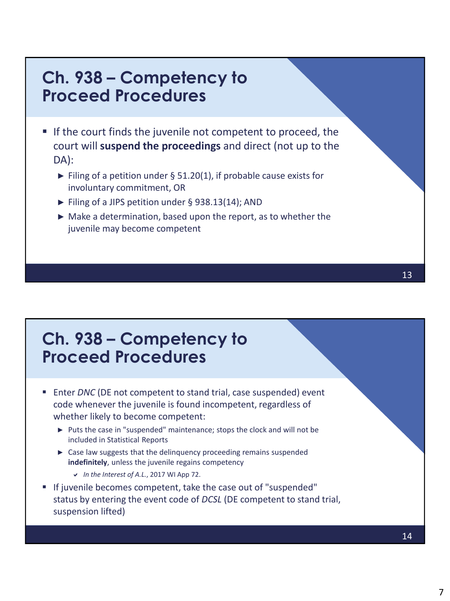#### **Ch. 938 – Competency to Proceed Procedures**

- If the court finds the juvenile not competent to proceed, the court will **suspend the proceedings** and direct (not up to the DA):
	- ► Filing of a petition under § 51.20(1), if probable cause exists for involuntary commitment, OR
	- ► Filing of a JIPS petition under § 938.13(14); AND
	- ► Make a determination, based upon the report, as to whether the juvenile may become competent

### **Ch. 938 – Competency to Proceed Procedures**

- Enter *DNC* (DE not competent to stand trial, case suspended) event code whenever the juvenile is found incompetent, regardless of whether likely to become competent:
	- ► Puts the case in "suspended" maintenance; stops the clock and will not be included in Statistical Reports
	- ► Case law suggests that the delinquency proceeding remains suspended **indefinitely**, unless the juvenile regains competency
		- *In the Interest of A.L.*, 2017 WI App 72.
- If juvenile becomes competent, take the case out of "suspended" status by entering the event code of *DCSL* (DE competent to stand trial, suspension lifted)

14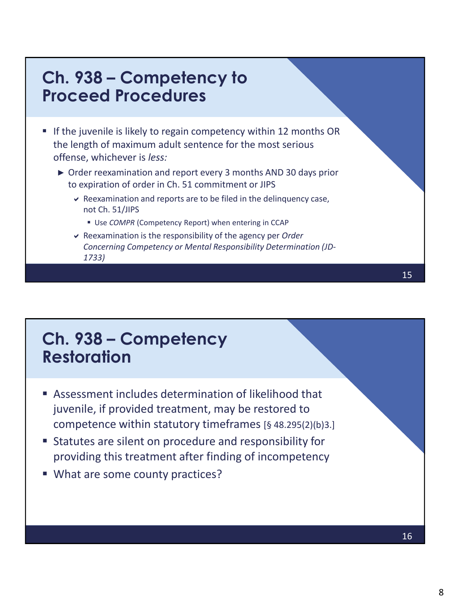#### **Ch. 938 – Competency to Proceed Procedures**

- If the juvenile is likely to regain competency within 12 months OR the length of maximum adult sentence for the most serious offense, whichever is *less:*
	- ► Order reexamination and report every 3 months AND 30 days prior to expiration of order in Ch. 51 commitment or JIPS
		- $\triangleright$  Reexamination and reports are to be filed in the delinquency case, not Ch. 51/JIPS
			- Use *COMPR* (Competency Report) when entering in CCAP
		- Reexamination is the responsibility of the agency per *Order Concerning Competency or Mental Responsibility Determination (JD-1733)*

## **Ch. 938 – Competency Restoration**

- Assessment includes determination of likelihood that juvenile, if provided treatment, may be restored to competence within statutory timeframes [§ 48.295(2)(b)3.]
- Statutes are silent on procedure and responsibility for providing this treatment after finding of incompetency
- What are some county practices?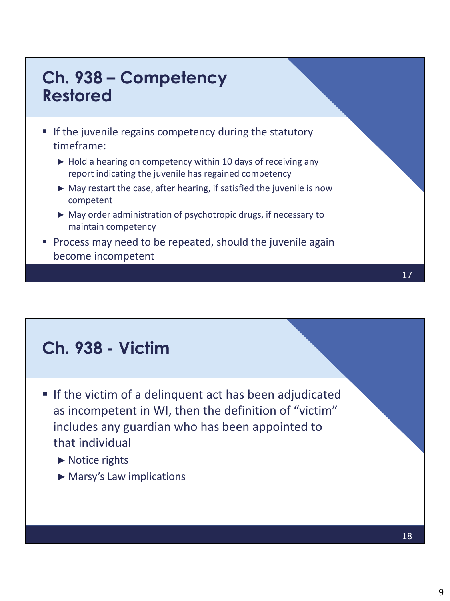## **Ch. 938 – Competency Restored**

- If the juvenile regains competency during the statutory timeframe:
	- $\blacktriangleright$  Hold a hearing on competency within 10 days of receiving any report indicating the juvenile has regained competency
	- ► May restart the case, after hearing, if satisfied the juvenile is now competent
	- ► May order administration of psychotropic drugs, if necessary to maintain competency
- **Process may need to be repeated, should the juvenile again** become incompetent

## **Ch. 938 - Victim**

- If the victim of a delinquent act has been adjudicated as incompetent in WI, then the definition of "victim" includes any guardian who has been appointed to that individual
	- ► Notice rights
	- ► Marsy's Law implications